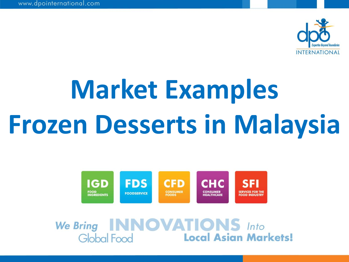

# **Market Examples Frozen Desserts in Malaysia**



We Bring INNOVATIONS Into<br>Global Food Local Asian Markets!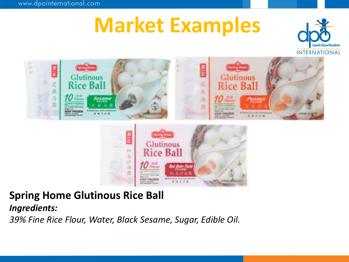



### **Spring Home Glutinous Rice Ball**

*Ingredients:*

*39% Fine Rice Flour, Water, Black Sesame, Sugar, Edible Oil.*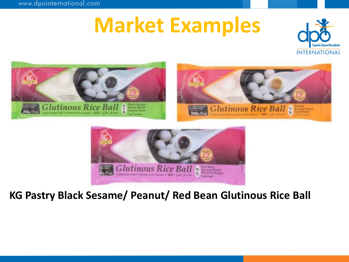



#### **KG Pastry Black Sesame/ Peanut/ Red Bean Glutinous Rice Ball**

where the currence with winds and a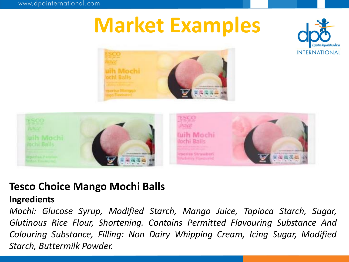





#### **Tesco Choice Mango Mochi Balls**

#### **Ingredients**

*Mochi: Glucose Syrup, Modified Starch, Mango Juice, Tapioca Starch, Sugar, Glutinous Rice Flour, Shortening. Contains Permitted Flavouring Substance And Colouring Substance, Filling: Non Dairy Whipping Cream, Icing Sugar, Modified Starch, Buttermilk Powder.*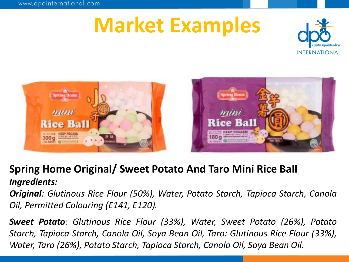





#### **Spring Home Original/ Sweet Potato And Taro Mini Rice Ball** *Ingredients:*

*Original: Glutinous Rice Flour (50%), Water, Potato Starch, Tapioca Starch, Canola Oil, Permitted Colouring (E141, E120).*

*Sweet Potato: Glutinous Rice Flour (33%), Water, Sweet Potato (26%), Potato Starch, Tapioca Starch, Canola Oil, Soya Bean Oil, Taro: Glutinous Rice Flour (33%), Water, Taro (26%), Potato Starch, Tapioca Starch, Canola Oil, Soya Bean Oil.*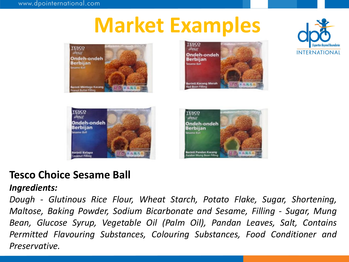









### **Tesco Choice Sesame Ball**

#### *Ingredients:*

*Dough - Glutinous Rice Flour, Wheat Starch, Potato Flake, Sugar, Shortening, Maltose, Baking Powder, Sodium Bicarbonate and Sesame, Filling - Sugar, Mung Bean, Glucose Syrup, Vegetable Oil (Palm Oil), Pandan Leaves, Salt, Contains Permitted Flavouring Substances, Colouring Substances, Food Conditioner and Preservative.*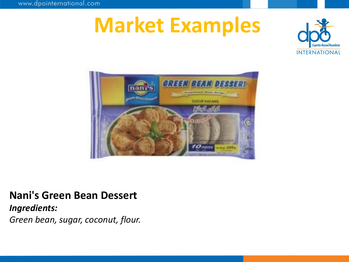



#### **Nani's Green Bean Dessert**

*Ingredients:*

*Green bean, sugar, coconut, flour.*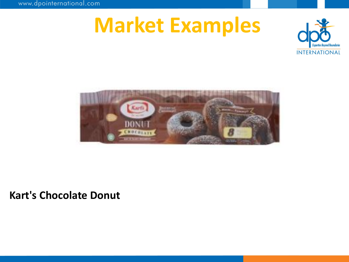www.dpointernational.com

# **Market Examples**





#### **Kart's Chocolate Donut**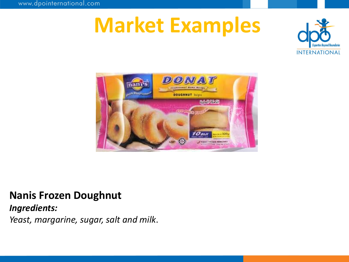



### **Nanis Frozen Doughnut**

*Ingredients:*

*Yeast, margarine, sugar, salt and milk*.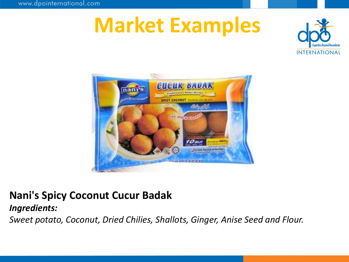



### **Nani's Spicy Coconut Cucur Badak**

#### *Ingredients:*

*Sweet potato, Coconut, Dried Chilies, Shallots, Ginger, Anise Seed and Flour.*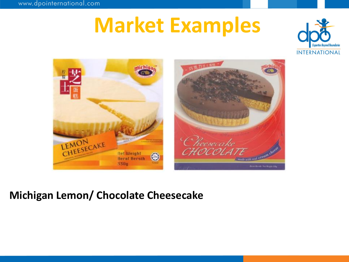



### **Michigan Lemon/ Chocolate Cheesecake**